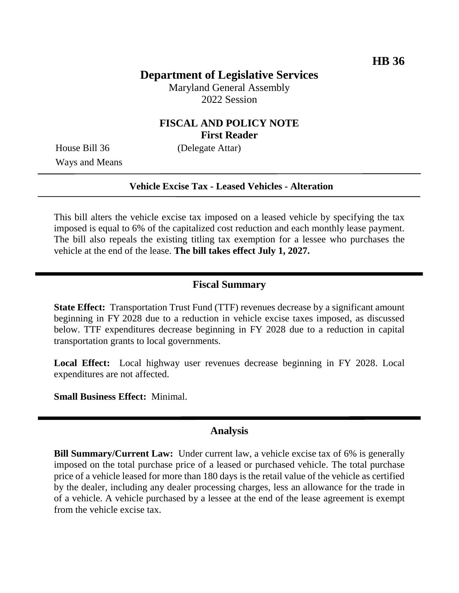# **Department of Legislative Services**

Maryland General Assembly 2022 Session

## **FISCAL AND POLICY NOTE First Reader**

House Bill 36 (Delegate Attar) Ways and Means

### **Vehicle Excise Tax - Leased Vehicles - Alteration**

This bill alters the vehicle excise tax imposed on a leased vehicle by specifying the tax imposed is equal to 6% of the capitalized cost reduction and each monthly lease payment. The bill also repeals the existing titling tax exemption for a lessee who purchases the vehicle at the end of the lease. **The bill takes effect July 1, 2027.**

### **Fiscal Summary**

**State Effect:** Transportation Trust Fund (TTF) revenues decrease by a significant amount beginning in FY 2028 due to a reduction in vehicle excise taxes imposed, as discussed below. TTF expenditures decrease beginning in FY 2028 due to a reduction in capital transportation grants to local governments.

**Local Effect:** Local highway user revenues decrease beginning in FY 2028. Local expenditures are not affected.

**Small Business Effect:** Minimal.

### **Analysis**

**Bill Summary/Current Law:** Under current law, a vehicle excise tax of 6% is generally imposed on the total purchase price of a leased or purchased vehicle. The total purchase price of a vehicle leased for more than 180 days is the retail value of the vehicle as certified by the dealer, including any dealer processing charges, less an allowance for the trade in of a vehicle. A vehicle purchased by a lessee at the end of the lease agreement is exempt from the vehicle excise tax.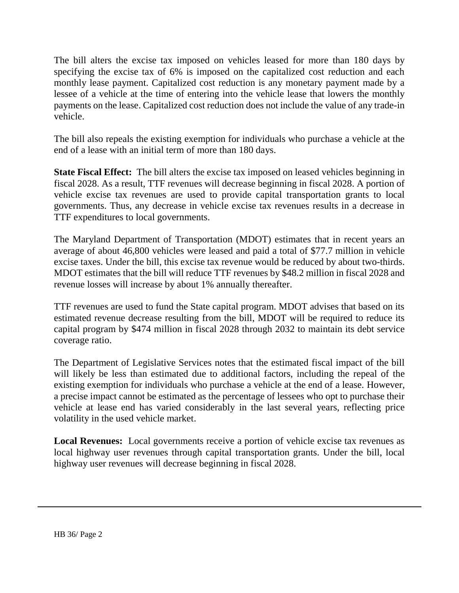The bill alters the excise tax imposed on vehicles leased for more than 180 days by specifying the excise tax of 6% is imposed on the capitalized cost reduction and each monthly lease payment. Capitalized cost reduction is any monetary payment made by a lessee of a vehicle at the time of entering into the vehicle lease that lowers the monthly payments on the lease. Capitalized cost reduction does not include the value of any trade-in vehicle.

The bill also repeals the existing exemption for individuals who purchase a vehicle at the end of a lease with an initial term of more than 180 days.

**State Fiscal Effect:** The bill alters the excise tax imposed on leased vehicles beginning in fiscal 2028. As a result, TTF revenues will decrease beginning in fiscal 2028. A portion of vehicle excise tax revenues are used to provide capital transportation grants to local governments. Thus, any decrease in vehicle excise tax revenues results in a decrease in TTF expenditures to local governments.

The Maryland Department of Transportation (MDOT) estimates that in recent years an average of about 46,800 vehicles were leased and paid a total of \$77.7 million in vehicle excise taxes. Under the bill, this excise tax revenue would be reduced by about two-thirds. MDOT estimates that the bill will reduce TTF revenues by \$48.2 million in fiscal 2028 and revenue losses will increase by about 1% annually thereafter.

TTF revenues are used to fund the State capital program. MDOT advises that based on its estimated revenue decrease resulting from the bill, MDOT will be required to reduce its capital program by \$474 million in fiscal 2028 through 2032 to maintain its debt service coverage ratio.

The Department of Legislative Services notes that the estimated fiscal impact of the bill will likely be less than estimated due to additional factors, including the repeal of the existing exemption for individuals who purchase a vehicle at the end of a lease. However, a precise impact cannot be estimated as the percentage of lessees who opt to purchase their vehicle at lease end has varied considerably in the last several years, reflecting price volatility in the used vehicle market.

**Local Revenues:** Local governments receive a portion of vehicle excise tax revenues as local highway user revenues through capital transportation grants. Under the bill, local highway user revenues will decrease beginning in fiscal 2028.